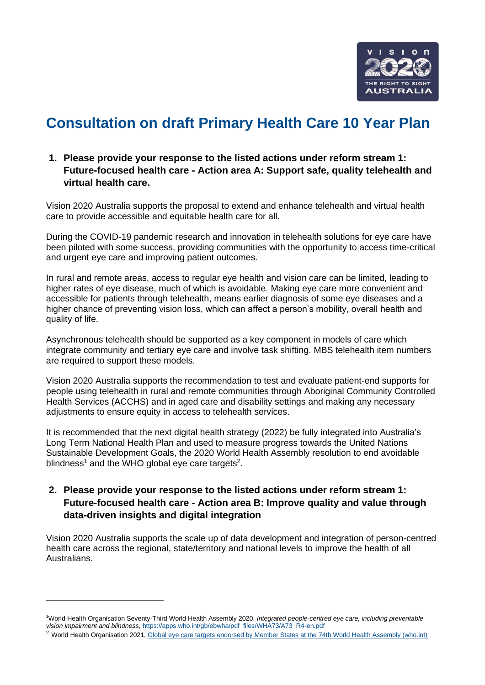

# **Consultation on draft Primary Health Care 10 Year Plan**

### **1. Please provide your response to the listed actions under reform stream 1: Future-focused health care - Action area A: Support safe, quality telehealth and virtual health care.**

Vision 2020 Australia supports the proposal to extend and enhance telehealth and virtual health care to provide accessible and equitable health care for all.

During the COVID-19 pandemic research and innovation in telehealth solutions for eye care have been piloted with some success, providing communities with the opportunity to access time-critical and urgent eye care and improving patient outcomes.

In rural and remote areas, access to regular eye health and vision care can be limited, leading to higher rates of eye disease, much of which is avoidable. Making eye care more convenient and accessible for patients through telehealth, means earlier diagnosis of some eye diseases and a higher chance of preventing vision loss, which can affect a person's mobility, overall health and quality of life.

Asynchronous telehealth should be supported as a key component in models of care which integrate community and tertiary eye care and involve task shifting. MBS telehealth item numbers are required to support these models.

Vision 2020 Australia supports the recommendation to test and evaluate patient-end supports for people using telehealth in rural and remote communities through Aboriginal Community Controlled Health Services (ACCHS) and in aged care and disability settings and making any necessary adjustments to ensure equity in access to telehealth services.

It is recommended that the next digital health strategy (2022) be fully integrated into Australia's Long Term National Health Plan and used to measure progress towards the United Nations Sustainable Development Goals, the 2020 World Health Assembly resolution to end avoidable blindness<sup>1</sup> and the WHO global eye care targets<sup>2</sup>.

## **2. Please provide your response to the listed actions under reform stream 1: Future-focused health care - Action area B: Improve quality and value through data-driven insights and digital integration**

Vision 2020 Australia supports the scale up of data development and integration of person-centred health care across the regional, state/territory and national levels to improve the health of all Australians.

<sup>1</sup>World Health Organisation Seventy-Third World Health Assembly 2020, *Integrated people-centred eye care, including preventable vision impairment and blindness*, [https://apps.who.int/gb/ebwha/pdf\\_files/WHA73/A73\\_R4-en.pdf](https://apps.who.int/gb/ebwha/pdf_files/WHA73/A73_R4-en.pdf)

<sup>2</sup> World Health Organisation 2021[, Global eye care targets endorsed by Member States at the 74th World Health Assembly \(who.int\)](https://www.who.int/news/item/27-05-2021-global-eye-care-targets-endorsed-by-member-states-at-the-74th-world-health-assembly#:~:text=WHA74%3A%20Executive%20Board%20Room%20in%20WHO%20Headquarters%2C%20Geneva.,cent%20increase%20in%20coverage%20of%20cataract%20surgery.%20)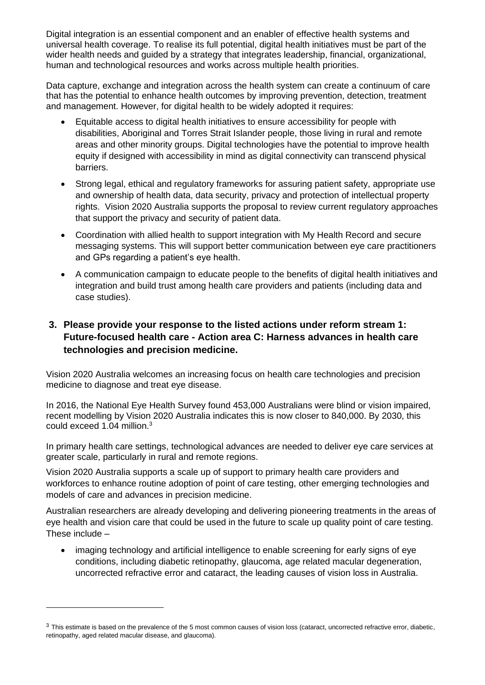Digital integration is an essential component and an enabler of effective health systems and universal health coverage. To realise its full potential, digital health initiatives must be part of the wider health needs and guided by a strategy that integrates leadership, financial, organizational, human and technological resources and works across multiple health priorities.

Data capture, exchange and integration across the health system can create a continuum of care that has the potential to enhance health outcomes by improving prevention, detection, treatment and management. However, for digital health to be widely adopted it requires:

- Equitable access to digital health initiatives to ensure accessibility for people with disabilities, Aboriginal and Torres Strait Islander people, those living in rural and remote areas and other minority groups. Digital technologies have the potential to improve health equity if designed with accessibility in mind as digital connectivity can transcend physical barriers.
- Strong legal, ethical and regulatory frameworks for assuring patient safety, appropriate use and ownership of health data, data security, privacy and protection of intellectual property rights. Vision 2020 Australia supports the proposal to review current regulatory approaches that support the privacy and security of patient data.
- Coordination with allied health to support integration with My Health Record and secure messaging systems. This will support better communication between eye care practitioners and GPs regarding a patient's eye health.
- A communication campaign to educate people to the benefits of digital health initiatives and integration and build trust among health care providers and patients (including data and case studies).

# **3. Please provide your response to the listed actions under reform stream 1: Future-focused health care - Action area C: Harness advances in health care technologies and precision medicine.**

Vision 2020 Australia welcomes an increasing focus on health care technologies and precision medicine to diagnose and treat eye disease.

In 2016, the National Eye Health Survey found 453,000 Australians were blind or vision impaired, recent modelling by Vision 2020 Australia indicates this is now closer to 840,000. By 2030, this could exceed 1.04 million. 3

In primary health care settings, technological advances are needed to deliver eye care services at greater scale, particularly in rural and remote regions.

Vision 2020 Australia supports a scale up of support to primary health care providers and workforces to enhance routine adoption of point of care testing, other emerging technologies and models of care and advances in precision medicine.

Australian researchers are already developing and delivering pioneering treatments in the areas of eye health and vision care that could be used in the future to scale up quality point of care testing. These include –

• imaging technology and artificial intelligence to enable screening for early signs of eye conditions, including [diabetic retinopathy,](https://www.cera.org.au/conditions/diabetic-eye-disease/) [glaucoma,](https://www.cera.org.au/conditions/glaucoma/) [age related macular degeneration,](https://www.cera.org.au/conditions/amd/) uncorrected refractive error and [cataract,](https://www.cera.org.au/conditions/cataract/) the leading causes of vision loss in Australia.

 $3$  This estimate is based on the prevalence of the 5 most common causes of vision loss (cataract, uncorrected refractive error, diabetic, retinopathy, aged related macular disease, and glaucoma).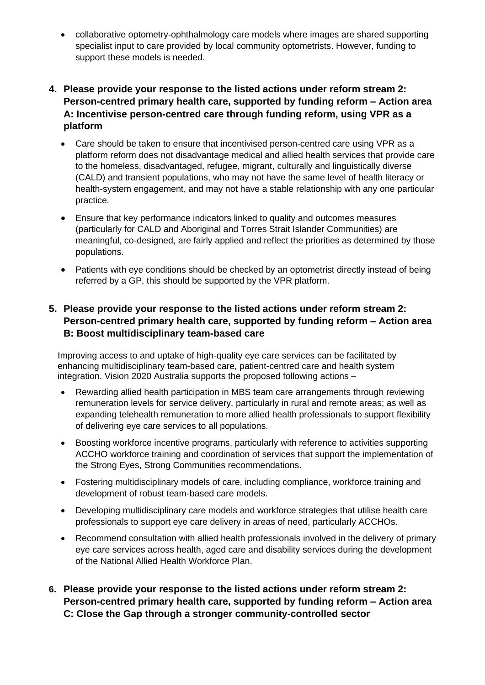• collaborative optometry-ophthalmology care models where images are shared supporting specialist input to care provided by local community optometrists. However, funding to support these models is needed.

## **4. Please provide your response to the listed actions under reform stream 2: Person-centred primary health care, supported by funding reform – Action area A: Incentivise person-centred care through funding reform, using VPR as a platform**

- Care should be taken to ensure that incentivised person-centred care using VPR as a platform reform does not disadvantage medical and allied health services that provide care to the homeless, disadvantaged, refugee, migrant, culturally and linguistically diverse (CALD) and transient populations, who may not have the same level of health literacy or health-system engagement, and may not have a stable relationship with any one particular practice.
- Ensure that key performance indicators linked to quality and outcomes measures (particularly for CALD and Aboriginal and Torres Strait Islander Communities) are meaningful, co-designed, are fairly applied and reflect the priorities as determined by those populations.
- Patients with eye conditions should be checked by an optometrist directly instead of being referred by a GP, this should be supported by the VPR platform.

## **5. Please provide your response to the listed actions under reform stream 2: Person-centred primary health care, supported by funding reform – Action area B: Boost multidisciplinary team-based care**

Improving access to and uptake of high-quality eye care services can be facilitated by enhancing multidisciplinary team-based care, patient-centred care and health system integration. Vision 2020 Australia supports the proposed following actions –

- Rewarding allied health participation in MBS team care arrangements through reviewing remuneration levels for service delivery, particularly in rural and remote areas; as well as expanding telehealth remuneration to more allied health professionals to support flexibility of delivering eye care services to all populations.
- Boosting workforce incentive programs, particularly with reference to activities supporting ACCHO workforce training and coordination of services that support the implementation of the Strong Eyes, Strong Communities recommendations.
- Fostering multidisciplinary models of care, including compliance, workforce training and development of robust team-based care models.
- Developing multidisciplinary care models and workforce strategies that utilise health care professionals to support eye care delivery in areas of need, particularly ACCHOs.
- Recommend consultation with allied health professionals involved in the delivery of primary eye care services across health, aged care and disability services during the development of the National Allied Health Workforce Plan.
- **6. Please provide your response to the listed actions under reform stream 2: Person-centred primary health care, supported by funding reform – Action area C: Close the Gap through a stronger community-controlled sector**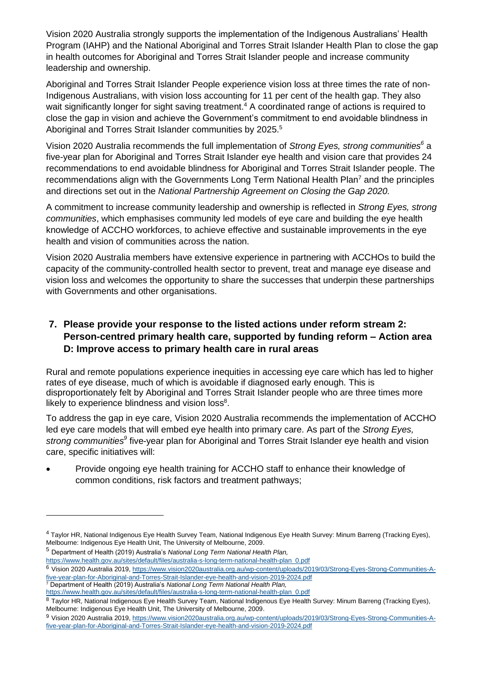Vision 2020 Australia strongly supports the implementation of the Indigenous Australians' Health Program (IAHP) and the National Aboriginal and Torres Strait Islander Health Plan to close the gap in health outcomes for Aboriginal and Torres Strait Islander people and increase community leadership and ownership.

Aboriginal and Torres Strait Islander People experience vision loss at three times the rate of non-Indigenous Australians, with vision loss accounting for 11 per cent of the health gap. They also wait significantly longer for sight saving treatment.<sup>4</sup> A coordinated range of actions is required to close the gap in vision and achieve the Government's commitment to end avoidable blindness in Aboriginal and Torres Strait Islander communities by 2025.<sup>5</sup>

Vision 2020 Australia recommends the full implementation of *Strong Eyes, strong communities<sup>6</sup>* a five-year plan for Aboriginal and Torres Strait Islander eye health and vision care that provides 24 recommendations to end avoidable blindness for Aboriginal and Torres Strait Islander people. The recommendations align with the Governments Long Term National Health Plan<sup>7</sup> and the principles and directions set out in the *National Partnership Agreement on Closing the Gap 2020.*

A commitment to increase community leadership and ownership is reflected in *Strong Eyes, strong communities*, which emphasises community led models of eye care and building the eye health knowledge of ACCHO workforces, to achieve effective and sustainable improvements in the eye health and vision of communities across the nation.

Vision 2020 Australia members have extensive experience in partnering with ACCHOs to build the capacity of the community-controlled health sector to prevent, treat and manage eye disease and vision loss and welcomes the opportunity to share the successes that underpin these partnerships with Governments and other organisations.

# **7. Please provide your response to the listed actions under reform stream 2: Person-centred primary health care, supported by funding reform – Action area D: Improve access to primary health care in rural areas**

Rural and remote populations experience inequities in accessing eye care which has led to higher rates of eye disease, much of which is avoidable if diagnosed early enough. This is disproportionately felt by Aboriginal and Torres Strait Islander people who are three times more likely to experience blindness and vision loss $8$ .

To address the gap in eye care, Vision 2020 Australia recommends the implementation of ACCHO led eye care models that will embed eye health into primary care. As part of the *Strong Eyes, strong communities<sup>9</sup>* five-year plan for Aboriginal and Torres Strait Islander eye health and vision care, specific initiatives will:

• Provide ongoing eye health training for ACCHO staff to enhance their knowledge of common conditions, risk factors and treatment pathways;

<sup>5</sup> Department of Health (2019) Australia's *National Long Term National Health Plan,*  [https://www.health.gov.au/sites/default/files/australia-s-long-term-national-health-plan\\_0.pdf](https://www.health.gov.au/sites/default/files/australia-s-long-term-national-health-plan_0.pdf)

<sup>4</sup> Taylor HR, National Indigenous Eye Health Survey Team, National Indigenous Eye Health Survey: Minum Barreng (Tracking Eyes), Melbourne: Indigenous Eye Health Unit, The University of Melbourne, 2009.

<sup>6</sup> Vision 2020 Australia 2019[, https://www.vision2020australia.org.au/wp-content/uploads/2019/03/Strong-Eyes-Strong-Communities-A](https://www.vision2020australia.org.au/wp-content/uploads/2019/03/Strong-Eyes-Strong-Communities-A-five-year-plan-for-Aboriginal-and-Torres-Strait-Islander-eye-health-and-vision-2019-2024.pdf)[five-year-plan-for-Aboriginal-and-Torres-Strait-Islander-eye-health-and-vision-2019-2024.pdf](https://www.vision2020australia.org.au/wp-content/uploads/2019/03/Strong-Eyes-Strong-Communities-A-five-year-plan-for-Aboriginal-and-Torres-Strait-Islander-eye-health-and-vision-2019-2024.pdf) <sup>7</sup> Department of Health (2019) Australia's *National Long Term National Health Plan,* 

[https://www.health.gov.au/sites/default/files/australia-s-long-term-national-health-plan\\_0.pdf](https://www.health.gov.au/sites/default/files/australia-s-long-term-national-health-plan_0.pdf)

<sup>8</sup> Taylor HR, National Indigenous Eye Health Survey Team, National Indigenous Eye Health Survey: Minum Barreng (Tracking Eyes), Melbourne: Indigenous Eye Health Unit, The University of Melbourne, 2009.

<sup>9</sup> Vision 2020 Australia 2019[, https://www.vision2020australia.org.au/wp-content/uploads/2019/03/Strong-Eyes-Strong-Communities-A](https://www.vision2020australia.org.au/wp-content/uploads/2019/03/Strong-Eyes-Strong-Communities-A-five-year-plan-for-Aboriginal-and-Torres-Strait-Islander-eye-health-and-vision-2019-2024.pdf)[five-year-plan-for-Aboriginal-and-Torres-Strait-Islander-eye-health-and-vision-2019-2024.pdf](https://www.vision2020australia.org.au/wp-content/uploads/2019/03/Strong-Eyes-Strong-Communities-A-five-year-plan-for-Aboriginal-and-Torres-Strait-Islander-eye-health-and-vision-2019-2024.pdf)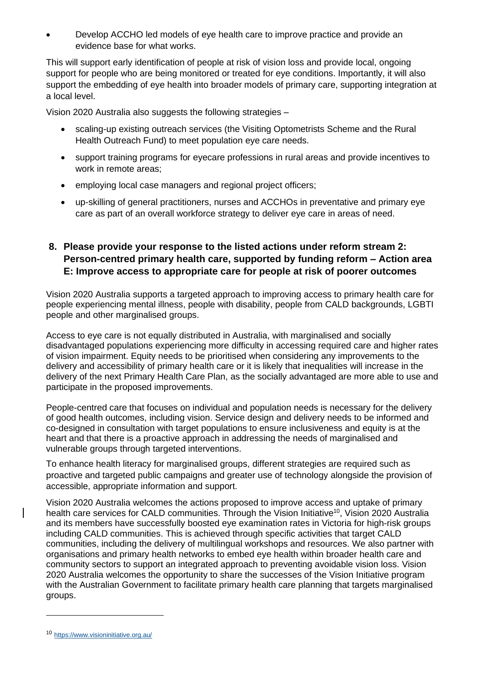• Develop ACCHO led models of eye health care to improve practice and provide an evidence base for what works.

This will support early identification of people at risk of vision loss and provide local, ongoing support for people who are being monitored or treated for eye conditions. Importantly, it will also support the embedding of eye health into broader models of primary care, supporting integration at a local level.

Vision 2020 Australia also suggests the following strategies –

- scaling-up existing outreach services (the Visiting Optometrists Scheme and the Rural Health Outreach Fund) to meet population eye care needs.
- support training programs for eyecare professions in rural areas and provide incentives to work in remote areas;
- employing local case managers and regional project officers;
- up-skilling of general practitioners, nurses and ACCHOs in preventative and primary eye care as part of an overall workforce strategy to deliver eye care in areas of need.

## **8. Please provide your response to the listed actions under reform stream 2: Person-centred primary health care, supported by funding reform – Action area E: Improve access to appropriate care for people at risk of poorer outcomes**

Vision 2020 Australia supports a targeted approach to improving access to primary health care for people experiencing mental illness, people with disability, people from CALD backgrounds, LGBTI people and other marginalised groups.

Access to eye care is not equally distributed in Australia, with marginalised and socially disadvantaged populations experiencing more difficulty in accessing required care and higher rates of vision impairment. Equity needs to be prioritised when considering any improvements to the delivery and accessibility of primary health care or it is likely that inequalities will increase in the delivery of the next Primary Health Care Plan, as the socially advantaged are more able to use and participate in the proposed improvements.

People-centred care that focuses on individual and population needs is necessary for the delivery of good health outcomes, including vision. Service design and delivery needs to be informed and co-designed in consultation with target populations to ensure inclusiveness and equity is at the heart and that there is a proactive approach in addressing the needs of marginalised and vulnerable groups through targeted interventions.

To enhance health literacy for marginalised groups, different strategies are required such as proactive and targeted public campaigns and greater use of technology alongside the provision of accessible, appropriate information and support.

Vision 2020 Australia welcomes the actions proposed to improve access and uptake of primary health care services for CALD communities. Through the Vision Initiative<sup>10</sup>, Vision 2020 Australia and its members have successfully boosted eye examination rates in Victoria for high-risk groups including CALD communities. This is achieved through specific activities that target CALD communities, including the delivery of multilingual workshops and resources. We also partner with organisations and primary health networks to embed eye health within broader health care and community sectors to support an integrated approach to preventing avoidable vision loss. Vision 2020 Australia welcomes the opportunity to share the successes of the Vision Initiative program with the Australian Government to facilitate primary health care planning that targets marginalised groups.

<sup>10</sup> <https://www.visioninitiative.org.au/>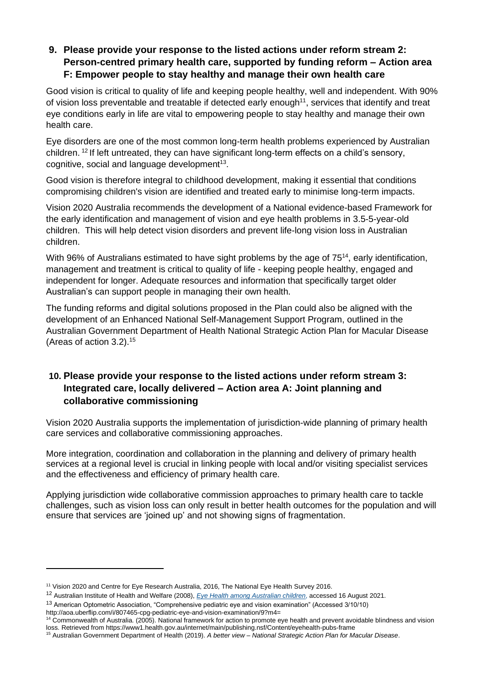# **9. Please provide your response to the listed actions under reform stream 2: Person-centred primary health care, supported by funding reform – Action area F: Empower people to stay healthy and manage their own health care**

Good vision is critical to quality of life and keeping people healthy, well and independent. With 90% of vision loss preventable and treatable if detected early enough<sup>11</sup>, services that identify and treat eye conditions early in life are vital to empowering people to stay healthy and manage their own health care.

Eye disorders are one of the most common long-term health problems experienced by Australian children. <sup>12</sup> If left untreated, they can have significant long-term effects on a child's sensory, cognitive, social and language development<sup>13</sup>.

Good vision is therefore integral to childhood development, making it essential that conditions compromising children's vision are identified and treated early to minimise long-term impacts.

Vision 2020 Australia recommends the development of a National evidence-based Framework for the early identification and management of vision and eye health problems in 3.5-5-year-old children. This will help detect vision disorders and prevent life-long vision loss in Australian children.

With 96% of Australians estimated to have sight problems by the age of 75<sup>14</sup>, early identification, management and treatment is critical to quality of life - keeping people healthy, engaged and independent for longer. Adequate resources and information that specifically target older Australian's can support people in managing their own health.

The funding reforms and digital solutions proposed in the Plan could also be aligned with the development of an Enhanced National Self-Management Support Program, outlined in the Australian Government Department of Health National Strategic Action Plan for Macular Disease (Areas of action  $3.2$ ).<sup>15</sup>

# **10. Please provide your response to the listed actions under reform stream 3: Integrated care, locally delivered – Action area A: Joint planning and collaborative commissioning**

Vision 2020 Australia supports the implementation of jurisdiction-wide planning of primary health care services and collaborative commissioning approaches.

More integration, coordination and collaboration in the planning and delivery of primary health services at a regional level is crucial in linking people with local and/or visiting specialist services and the effectiveness and efficiency of primary health care.

Applying jurisdiction wide collaborative commission approaches to primary health care to tackle challenges, such as vision loss can only result in better health outcomes for the population and will ensure that services are 'joined up' and not showing signs of fragmentation.

<sup>11</sup> Vision 2020 and Centre for Eye Research Australia, 2016, The National Eye Health Survey 2016.

<sup>12</sup> Australian Institute of Health and Welfare (2008), *[Eye Health among Australian children](https://www.aihw.gov.au/getmedia/98252212-cc46-477d-a0f3-adcefe01cd25/ehaac.pdf.aspx?inline=true)*, accessed 16 August 2021.

<sup>13</sup> American Optometric Association, "Comprehensive pediatric eye and vision examination" (Accessed 3/10/10)

http://aoa.uberflip.com/i/807465-cpg-pediatric-eye-and-vision-examination/9?m4=

<sup>14</sup> Commonwealth of Australia. (2005). National framework for action to promote eye health and prevent avoidable blindness and vision loss. Retrieved from<https://www1.health.gov.au/internet/main/publishing.nsf/Content/eyehealth-pubs-frame>

<sup>15</sup> Australian Government Department of Health (2019). *A better view – National Strategic Action Plan for Macular Disease*.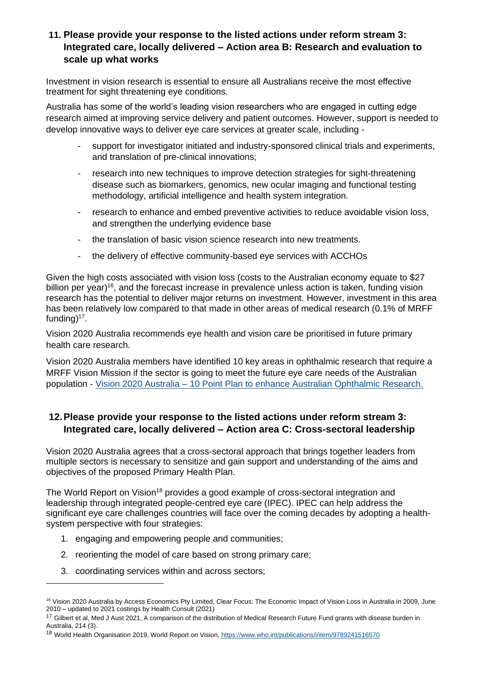#### **11. Please provide your response to the listed actions under reform stream 3: Integrated care, locally delivered – Action area B: Research and evaluation to scale up what works**

Investment in vision research is essential to ensure all Australians receive the most effective treatment for sight threatening eye conditions.

Australia has some of the world's leading vision researchers who are engaged in cutting edge research aimed at improving service delivery and patient outcomes. However, support is needed to develop innovative ways to deliver eye care services at greater scale, including -

- support for investigator initiated and industry-sponsored clinical trials and experiments, and translation of pre-clinical innovations;
- research into new techniques to improve detection strategies for sight-threatening disease such as biomarkers, genomics, new ocular imaging and functional testing methodology, artificial intelligence and health system integration.
- research to enhance and embed preventive activities to reduce avoidable vision loss, and strengthen the underlying evidence base
- the translation of basic vision science research into new treatments.
- the delivery of effective community-based eye services with ACCHOs

Given the high costs associated with vision loss (costs to the Australian economy equate to \$27 billion per year)<sup>16</sup>, and the forecast increase in prevalence unless action is taken, funding vision research has the potential to deliver major returns on investment. However, investment in this area has been relatively low compared to that made in other areas of medical research (0.1% of MRFF funding)<sup>17</sup>.

Vision 2020 Australia recommends eye health and vision care be prioritised in future primary health care research.

Vision 2020 Australia members have identified 10 key areas in ophthalmic research that require a MRFF Vision Mission if the sector is going to meet the future eye care needs of the Australian population - Vision 2020 Australia – [10 Point Plan to enhance Australian Ophthalmic Research.](https://www.vision2020australia.org.au/wp-content/uploads/2021/09/Vision-for-the-Future-%E2%80%93-A-10-Point-Plan-to-enhance-Australian-Ophthalmic-Research.pdf)

### **12.Please provide your response to the listed actions under reform stream 3: Integrated care, locally delivered – Action area C: Cross-sectoral leadership**

Vision 2020 Australia agrees that a cross-sectoral approach that brings together leaders from multiple sectors is necessary to sensitize and gain support and understanding of the aims and objectives of the proposed Primary Health Plan.

The World Report on Vision<sup>18</sup> provides a good example of cross-sectoral integration and leadership through integrated people-centred eye care (IPEC). IPEC can help address the significant eye care challenges countries will face over the coming decades by adopting a healthsystem perspective with four strategies:

- 1. engaging and empowering people and communities;
- 2. reorienting the model of care based on strong primary care;
- 3. coordinating services within and across sectors;

<sup>&</sup>lt;sup>16</sup> Vision 2020 Australia by Access Economics Pty Limited, Clear Focus: The Economic Impact of Vision Loss in Australia in 2009, June 2010 – updated to 2021 costings by Health Consult (2021)

<sup>&</sup>lt;sup>17</sup> Gilbert et al, Med J Aust 2021, A comparison of the distribution of Medical Research Future Fund grants with disease burden in Australia, 214 (3).

<sup>&</sup>lt;sup>18</sup> World Health Organisation 2019, World Report on Vision[, https://www.who.int/publications/i/item/9789241516570](https://www.who.int/publications/i/item/9789241516570)